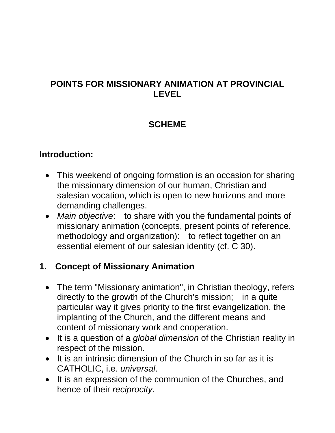### **POINTS FOR MISSIONARY ANIMATION AT PROVINCIAL LEVEL**

### **SCHEME**

#### **Introduction:**

- This weekend of ongoing formation is an occasion for sharing the missionary dimension of our human, Christian and salesian vocation, which is open to new horizons and more demanding challenges.
- *Main objective*: to share with you the fundamental points of missionary animation (concepts, present points of reference, methodology and organization): to reflect together on an essential element of our salesian identity (cf. C 30).

### **1. Concept of Missionary Animation**

- The term "Missionary animation", in Christian theology, refers directly to the growth of the Church's mission; in a quite particular way it gives priority to the first evangelization, the implanting of the Church, and the different means and content of missionary work and cooperation.
- It is a question of a *global dimension* of the Christian reality in respect of the mission.
- $\bullet$  It is an intrinsic dimension of the Church in so far as it is CATHOLIC, i.e. *universal*.
- It is an expression of the communion of the Churches, and hence of their *reciprocity*.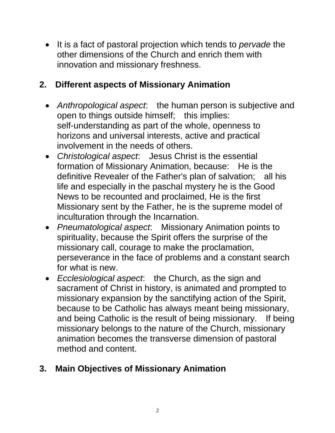It is a fact of pastoral projection which tends to *pervade* the other dimensions of the Church and enrich them with innovation and missionary freshness.

## **2. Different aspects of Missionary Animation**

- *Anthropological aspect*: the human person is subjective and open to things outside himself; this implies: self-understanding as part of the whole, openness to horizons and universal interests, active and practical involvement in the needs of others.
- *Christological aspect*: Jesus Christ is the essential formation of Missionary Animation, because: He is the definitive Revealer of the Father's plan of salvation; all his life and especially in the paschal mystery he is the Good News to be recounted and proclaimed, He is the first Missionary sent by the Father, he is the supreme model of inculturation through the Incarnation.
- *Pneumatological aspect*: Missionary Animation points to spirituality, because the Spirit offers the surprise of the missionary call, courage to make the proclamation, perseverance in the face of problems and a constant search for what is new.
- *Ecclesiological aspect*: the Church, as the sign and sacrament of Christ in history, is animated and prompted to missionary expansion by the sanctifying action of the Spirit, because to be Catholic has always meant being missionary, and being Catholic is the result of being missionary. If being missionary belongs to the nature of the Church, missionary animation becomes the transverse dimension of pastoral method and content.

# **3. Main Objectives of Missionary Animation**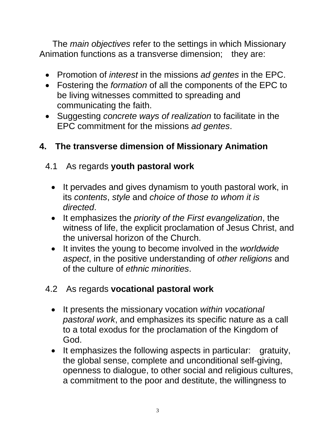The *main objectives* refer to the settings in which Missionary Animation functions as a transverse dimension; they are:

- Promotion of *interest* in the missions *ad gentes* in the EPC.
- Fostering the *formation* of all the components of the EPC to be living witnesses committed to spreading and communicating the faith.
- Suggesting *concrete ways of realization* to facilitate in the EPC commitment for the missions *ad gentes*.

### **4. The transverse dimension of Missionary Animation**

#### 4.1 As regards **youth pastoral work**

- It pervades and gives dynamism to youth pastoral work, in its *contents*, *style* and *choice of those to whom it is directed*.
- It emphasizes the *priority of the First evangelization*, the witness of life, the explicit proclamation of Jesus Christ, and the universal horizon of the Church.
- It invites the young to become involved in the *worldwide aspect*, in the positive understanding of *other religions* and of the culture of *ethnic minorities*.

### 4.2 As regards **vocational pastoral work**

- It presents the missionary vocation *within vocational pastoral work*, and emphasizes its specific nature as a call to a total exodus for the proclamation of the Kingdom of God.
- It emphasizes the following aspects in particular: gratuity, the global sense, complete and unconditional self-giving, openness to dialogue, to other social and religious cultures, a commitment to the poor and destitute, the willingness to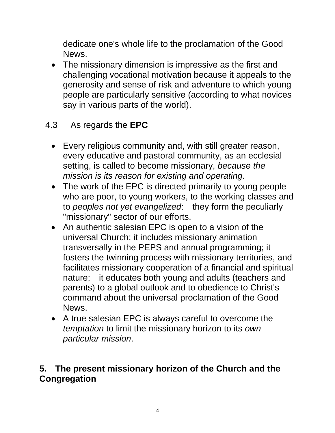dedicate one's whole life to the proclamation of the Good News.

• The missionary dimension is impressive as the first and challenging vocational motivation because it appeals to the generosity and sense of risk and adventure to which young people are particularly sensitive (according to what novices say in various parts of the world).

### 4.3 As regards the **EPC**

- Every religious community and, with still greater reason, every educative and pastoral community, as an ecclesial setting, is called to become missionary, *because the mission is its reason for existing and operating*.
- The work of the EPC is directed primarily to young people who are poor, to young workers, to the working classes and to *peoples not yet evangelized*: they form the peculiarly "missionary" sector of our efforts.
- An authentic salesian EPC is open to a vision of the universal Church; it includes missionary animation transversally in the PEPS and annual programming; it fosters the twinning process with missionary territories, and facilitates missionary cooperation of a financial and spiritual nature; it educates both young and adults (teachers and parents) to a global outlook and to obedience to Christ's command about the universal proclamation of the Good News.
- A true salesian EPC is always careful to overcome the *temptation* to limit the missionary horizon to its *own particular mission*.

#### **5. The present missionary horizon of the Church and the Congregation**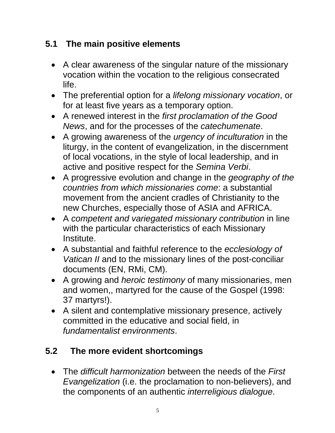## **5.1 The main positive elements**

- A clear awareness of the singular nature of the missionary vocation within the vocation to the religious consecrated life.
- The preferential option for a *lifelong missionary vocation*, or for at least five years as a temporary option.
- A renewed interest in the *first proclamation of the Good News*, and for the processes of the *catechumenate*.
- A growing awareness of the *urgency of inculturation* in the liturgy, in the content of evangelization, in the discernment of local vocations, in the style of local leadership, and in active and positive respect for the *Semina Verbi*.
- A progressive evolution and change in the *geography of the countries from which missionaries come*: a substantial movement from the ancient cradles of Christianity to the new Churches, especially those of ASIA and AFRICA.
- A *competent and variegated missionary contribution* in line with the particular characteristics of each Missionary Institute.
- A substantial and faithful reference to the *ecclesiology of Vatican II* and to the missionary lines of the post-conciliar documents (EN, RMi, CM).
- A growing and *heroic testimony* of many missionaries, men and women,, martyred for the cause of the Gospel (1998: 37 martyrs!).
- A silent and contemplative missionary presence, actively committed in the educative and social field, in *fundamentalist environments*.

# **5.2 The more evident shortcomings**

 The *difficult harmonization* between the needs of the *First Evangelization* (i.e. the proclamation to non-believers), and the components of an authentic *interreligious dialogue*.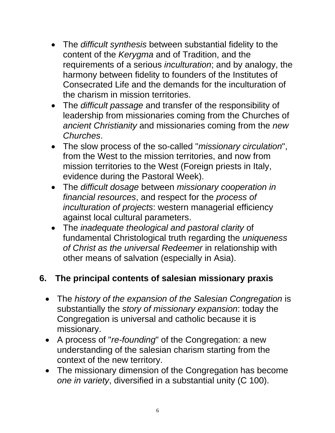- The *difficult synthesis* between substantial fidelity to the content of the *Kerygma* and of Tradition, and the requirements of a serious *inculturation*; and by analogy, the harmony between fidelity to founders of the Institutes of Consecrated Life and the demands for the inculturation of the charism in mission territories.
- The *difficult passage* and transfer of the responsibility of leadership from missionaries coming from the Churches of *ancient Christianity* and missionaries coming from the *new Churches*.
- The slow process of the so-called "*missionary circulation*", from the West to the mission territories, and now from mission territories to the West (Foreign priests in Italy, evidence during the Pastoral Week).
- The *difficult dosage* between *missionary cooperation in financial resources*, and respect for the *process of inculturation of projects*: western managerial efficiency against local cultural parameters.
- The *inadequate theological and pastoral clarity* of fundamental Christological truth regarding the *uniqueness of Christ as the universal Redeemer* in relationship with other means of salvation (especially in Asia).

### **6. The principal contents of salesian missionary praxis**

- The *history of the expansion of the Salesian Congregation* is substantially the *story of missionary expansion*: today the Congregation is universal and catholic because it is missionary.
- A process of "*re-founding*" of the Congregation: a new understanding of the salesian charism starting from the context of the new territory.
- The missionary dimension of the Congregation has become *one in variety*, diversified in a substantial unity (C 100).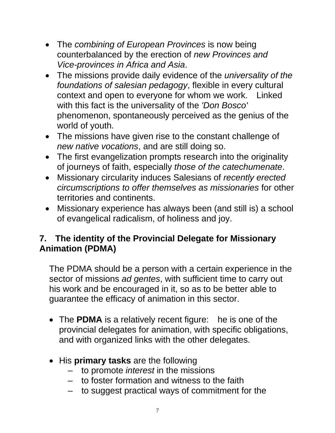- The *combining of European Provinces* is now being counterbalanced by the erection of *new Provinces and Vice-provinces in Africa and Asia*.
- The missions provide daily evidence of the *universality of the foundations of salesian pedagogy*, flexible in every cultural context and open to everyone for whom we work. Linked with this fact is the universality of the *'Don Bosco'* phenomenon, spontaneously perceived as the genius of the world of youth.
- The missions have given rise to the constant challenge of *new native vocations*, and are still doing so.
- The first evangelization prompts research into the originality of journeys of faith, especially *those of the catechumenate*.
- Missionary circularity induces Salesians of *recently erected circumscriptions to offer themselves as missionaries* for other territories and continents.
- Missionary experience has always been (and still is) a school of evangelical radicalism, of holiness and joy.

### **7. The identity of the Provincial Delegate for Missionary Animation (PDMA)**

The PDMA should be a person with a certain experience in the sector of missions *ad gentes*, with sufficient time to carry out his work and be encouraged in it, so as to be better able to guarantee the efficacy of animation in this sector.

- The **PDMA** is a relatively recent figure: he is one of the provincial delegates for animation, with specific obligations, and with organized links with the other delegates.
- His **primary tasks** are the following
	- to promote *interest* in the missions
	- to foster formation and witness to the faith
	- to suggest practical ways of commitment for the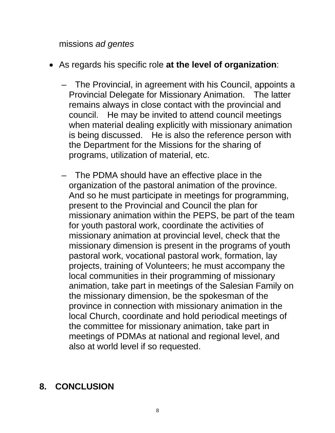missions *ad gentes* 

- As regards his specific role **at the level of organization**:
	- The Provincial, in agreement with his Council, appoints a Provincial Delegate for Missionary Animation. The latter remains always in close contact with the provincial and council. He may be invited to attend council meetings when material dealing explicitly with missionary animation is being discussed. He is also the reference person with the Department for the Missions for the sharing of programs, utilization of material, etc.
	- The PDMA should have an effective place in the organization of the pastoral animation of the province. And so he must participate in meetings for programming, present to the Provincial and Council the plan for missionary animation within the PEPS, be part of the team for youth pastoral work, coordinate the activities of missionary animation at provincial level, check that the missionary dimension is present in the programs of youth pastoral work, vocational pastoral work, formation, lay projects, training of Volunteers; he must accompany the local communities in their programming of missionary animation, take part in meetings of the Salesian Family on the missionary dimension, be the spokesman of the province in connection with missionary animation in the local Church, coordinate and hold periodical meetings of the committee for missionary animation, take part in meetings of PDMAs at national and regional level, and also at world level if so requested.

# **8. CONCLUSION**